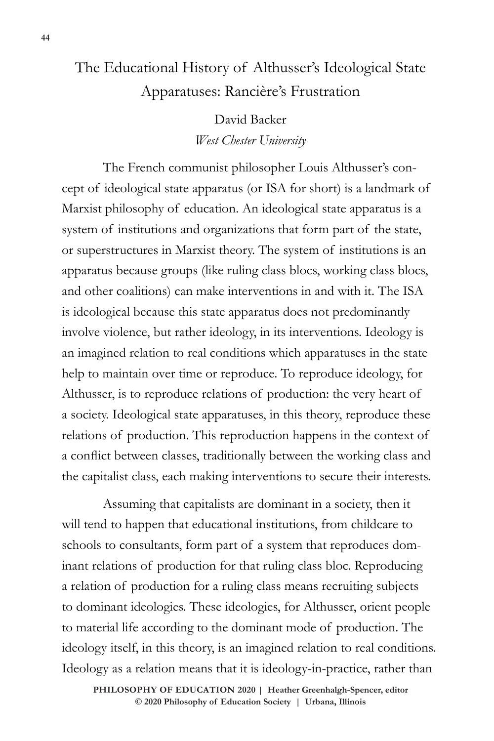# The Educational History of Althusser's Ideological State Apparatuses: Rancière's Frustration

David Backer *West Chester University* 

The French communist philosopher Louis Althusser's concept of ideological state apparatus (or ISA for short) is a landmark of Marxist philosophy of education. An ideological state apparatus is a system of institutions and organizations that form part of the state, or superstructures in Marxist theory. The system of institutions is an apparatus because groups (like ruling class blocs, working class blocs, and other coalitions) can make interventions in and with it. The ISA is ideological because this state apparatus does not predominantly involve violence, but rather ideology, in its interventions. Ideology is an imagined relation to real conditions which apparatuses in the state help to maintain over time or reproduce. To reproduce ideology, for Althusser, is to reproduce relations of production: the very heart of a society. Ideological state apparatuses, in this theory, reproduce these relations of production. This reproduction happens in the context of a conflict between classes, traditionally between the working class and the capitalist class, each making interventions to secure their interests.

Assuming that capitalists are dominant in a society, then it will tend to happen that educational institutions, from childcare to schools to consultants, form part of a system that reproduces dominant relations of production for that ruling class bloc. Reproducing a relation of production for a ruling class means recruiting subjects to dominant ideologies. These ideologies, for Althusser, orient people to material life according to the dominant mode of production. The ideology itself, in this theory, is an imagined relation to real conditions. Ideology as a relation means that it is ideology-in-practice, rather than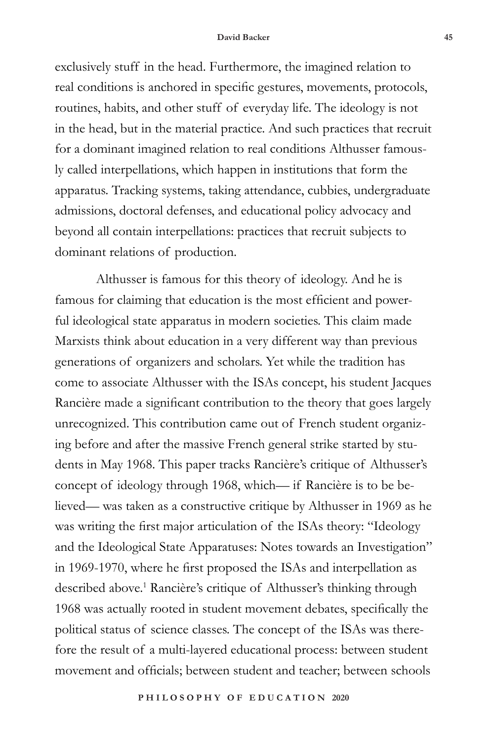exclusively stuff in the head. Furthermore, the imagined relation to real conditions is anchored in specific gestures, movements, protocols, routines, habits, and other stuff of everyday life. The ideology is not in the head, but in the material practice. And such practices that recruit for a dominant imagined relation to real conditions Althusser famously called interpellations, which happen in institutions that form the apparatus. Tracking systems, taking attendance, cubbies, undergraduate admissions, doctoral defenses, and educational policy advocacy and beyond all contain interpellations: practices that recruit subjects to dominant relations of production.

Althusser is famous for this theory of ideology. And he is famous for claiming that education is the most efficient and powerful ideological state apparatus in modern societies. This claim made Marxists think about education in a very different way than previous generations of organizers and scholars. Yet while the tradition has come to associate Althusser with the ISAs concept, his student Jacques Rancière made a significant contribution to the theory that goes largely unrecognized. This contribution came out of French student organizing before and after the massive French general strike started by students in May 1968. This paper tracks Rancière's critique of Althusser's concept of ideology through 1968, which— if Rancière is to be believed— was taken as a constructive critique by Althusser in 1969 as he was writing the first major articulation of the ISAs theory: "Ideology and the Ideological State Apparatuses: Notes towards an Investigation" in 1969-1970, where he first proposed the ISAs and interpellation as described above.<sup>1</sup> Rancière's critique of Althusser's thinking through 1968 was actually rooted in student movement debates, specifically the political status of science classes. The concept of the ISAs was therefore the result of a multi-layered educational process: between student movement and officials; between student and teacher; between schools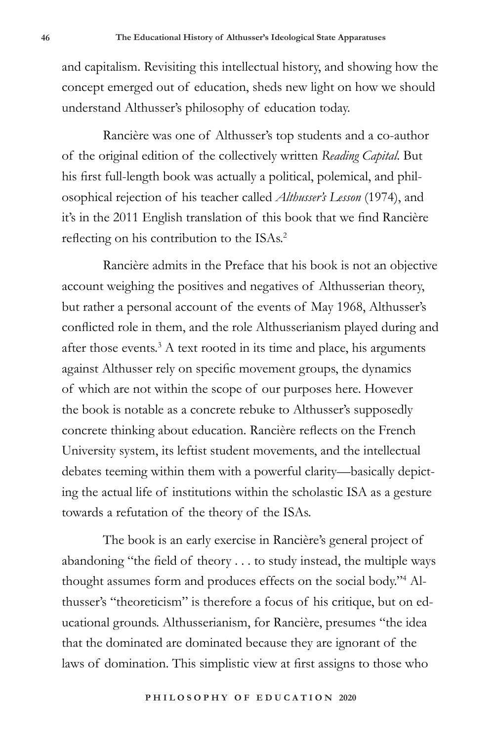and capitalism. Revisiting this intellectual history, and showing how the concept emerged out of education, sheds new light on how we should understand Althusser's philosophy of education today.

Rancière was one of Althusser's top students and a co-author of the original edition of the collectively written *Reading Capital*. But his first full-length book was actually a political, polemical, and philosophical rejection of his teacher called *Althusser's Lesson* (1974), and it's in the 2011 English translation of this book that we find Rancière reflecting on his contribution to the ISAs.<sup>2</sup>

Rancière admits in the Preface that his book is not an objective account weighing the positives and negatives of Althusserian theory, but rather a personal account of the events of May 1968, Althusser's conflicted role in them, and the role Althusserianism played during and after those events.<sup>3</sup> A text rooted in its time and place, his arguments against Althusser rely on specific movement groups, the dynamics of which are not within the scope of our purposes here. However the book is notable as a concrete rebuke to Althusser's supposedly concrete thinking about education. Rancière reflects on the French University system, its leftist student movements, and the intellectual debates teeming within them with a powerful clarity—basically depicting the actual life of institutions within the scholastic ISA as a gesture towards a refutation of the theory of the ISAs.

The book is an early exercise in Rancière's general project of abandoning "the field of theory . . . to study instead, the multiple ways thought assumes form and produces effects on the social body."4 Althusser's "theoreticism" is therefore a focus of his critique, but on educational grounds. Althusserianism, for Rancière, presumes "the idea that the dominated are dominated because they are ignorant of the laws of domination. This simplistic view at first assigns to those who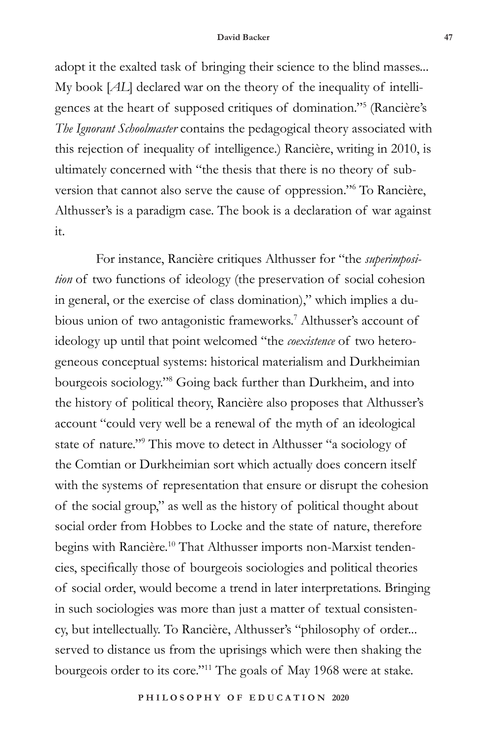adopt it the exalted task of bringing their science to the blind masses... My book [*AL*] declared war on the theory of the inequality of intelligences at the heart of supposed critiques of domination."5 (Rancière's *The Ignorant Schoolmaster* contains the pedagogical theory associated with this rejection of inequality of intelligence.) Rancière, writing in 2010, is ultimately concerned with "the thesis that there is no theory of subversion that cannot also serve the cause of oppression."6 To Rancière, Althusser's is a paradigm case. The book is a declaration of war against it.

For instance, Rancière critiques Althusser for "the *superimposition* of two functions of ideology (the preservation of social cohesion in general, or the exercise of class domination)," which implies a dubious union of two antagonistic frameworks.<sup>7</sup> Althusser's account of ideology up until that point welcomed "the *coexistence* of two heterogeneous conceptual systems: historical materialism and Durkheimian bourgeois sociology."8 Going back further than Durkheim, and into the history of political theory, Rancière also proposes that Althusser's account "could very well be a renewal of the myth of an ideological state of nature."9 This move to detect in Althusser "a sociology of the Comtian or Durkheimian sort which actually does concern itself with the systems of representation that ensure or disrupt the cohesion of the social group," as well as the history of political thought about social order from Hobbes to Locke and the state of nature, therefore begins with Rancière.<sup>10</sup> That Althusser imports non-Marxist tendencies, specifically those of bourgeois sociologies and political theories of social order, would become a trend in later interpretations. Bringing in such sociologies was more than just a matter of textual consistency, but intellectually. To Rancière, Althusser's "philosophy of order... served to distance us from the uprisings which were then shaking the bourgeois order to its core."11 The goals of May 1968 were at stake.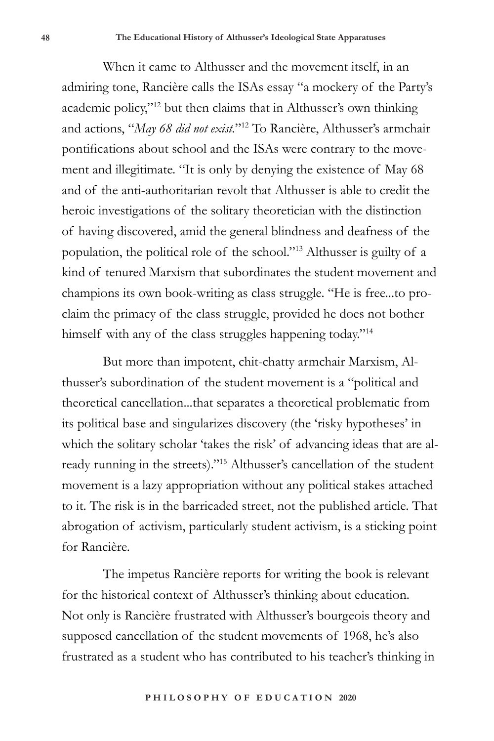When it came to Althusser and the movement itself, in an admiring tone, Rancière calls the ISAs essay "a mockery of the Party's academic policy,"12 but then claims that in Althusser's own thinking and actions, "*May 68 did not exist.*"12 To Rancière, Althusser's armchair pontifications about school and the ISAs were contrary to the movement and illegitimate. "It is only by denying the existence of May 68 and of the anti-authoritarian revolt that Althusser is able to credit the heroic investigations of the solitary theoretician with the distinction of having discovered, amid the general blindness and deafness of the population, the political role of the school."13 Althusser is guilty of a kind of tenured Marxism that subordinates the student movement and champions its own book-writing as class struggle. "He is free...to proclaim the primacy of the class struggle, provided he does not bother himself with any of the class struggles happening today."<sup>14</sup>

But more than impotent, chit-chatty armchair Marxism, Althusser's subordination of the student movement is a "political and theoretical cancellation...that separates a theoretical problematic from its political base and singularizes discovery (the 'risky hypotheses' in which the solitary scholar 'takes the risk' of advancing ideas that are already running in the streets)."15 Althusser's cancellation of the student movement is a lazy appropriation without any political stakes attached to it. The risk is in the barricaded street, not the published article. That abrogation of activism, particularly student activism, is a sticking point for Rancière.

The impetus Rancière reports for writing the book is relevant for the historical context of Althusser's thinking about education. Not only is Rancière frustrated with Althusser's bourgeois theory and supposed cancellation of the student movements of 1968, he's also frustrated as a student who has contributed to his teacher's thinking in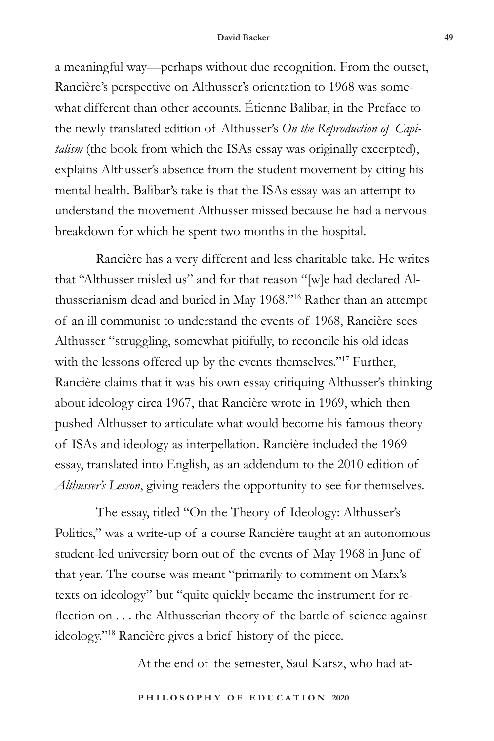a meaningful way—perhaps without due recognition. From the outset, Rancière's perspective on Althusser's orientation to 1968 was somewhat different than other accounts. Étienne Balibar, in the Preface to the newly translated edition of Althusser's *On the Reproduction of Capitalism* (the book from which the ISAs essay was originally excerpted), explains Althusser's absence from the student movement by citing his mental health. Balibar's take is that the ISAs essay was an attempt to understand the movement Althusser missed because he had a nervous breakdown for which he spent two months in the hospital.

Rancière has a very different and less charitable take. He writes that "Althusser misled us" and for that reason "[w]e had declared Althusserianism dead and buried in May 1968."16 Rather than an attempt of an ill communist to understand the events of 1968, Rancière sees Althusser "struggling, somewhat pitifully, to reconcile his old ideas with the lessons offered up by the events themselves."<sup>17</sup> Further, Rancière claims that it was his own essay critiquing Althusser's thinking about ideology circa 1967, that Rancière wrote in 1969, which then pushed Althusser to articulate what would become his famous theory of ISAs and ideology as interpellation. Rancière included the 1969 essay, translated into English, as an addendum to the 2010 edition of *Althusser's Lesson*, giving readers the opportunity to see for themselves.

The essay, titled "On the Theory of Ideology: Althusser's Politics," was a write-up of a course Rancière taught at an autonomous student-led university born out of the events of May 1968 in June of that year. The course was meant "primarily to comment on Marx's texts on ideology" but "quite quickly became the instrument for reflection on . . . the Althusserian theory of the battle of science against ideology."18 Rancière gives a brief history of the piece.

At the end of the semester, Saul Karsz, who had at-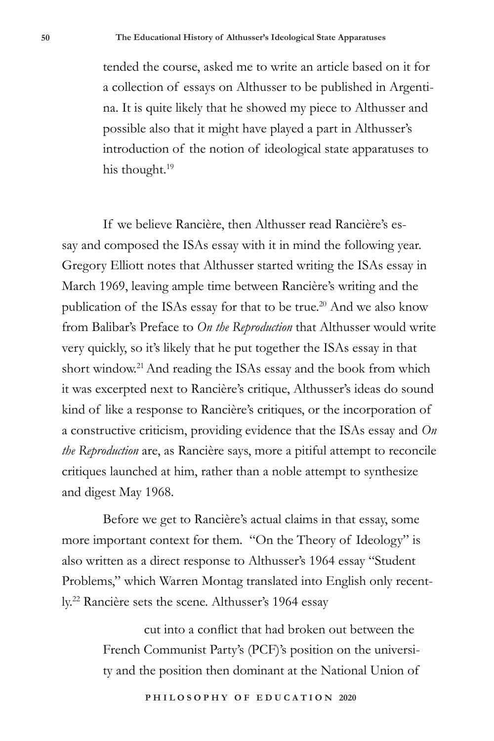tended the course, asked me to write an article based on it for a collection of essays on Althusser to be published in Argentina. It is quite likely that he showed my piece to Althusser and possible also that it might have played a part in Althusser's introduction of the notion of ideological state apparatuses to his thought.<sup>19</sup>

If we believe Rancière, then Althusser read Rancière's essay and composed the ISAs essay with it in mind the following year. Gregory Elliott notes that Althusser started writing the ISAs essay in March 1969, leaving ample time between Rancière's writing and the publication of the ISAs essay for that to be true.<sup>20</sup> And we also know from Balibar's Preface to *On the Reproduction* that Althusser would write very quickly, so it's likely that he put together the ISAs essay in that short window.<sup>21</sup> And reading the ISAs essay and the book from which it was excerpted next to Rancière's critique, Althusser's ideas do sound kind of like a response to Rancière's critiques, or the incorporation of a constructive criticism, providing evidence that the ISAs essay and *On the Reproduction* are, as Rancière says, more a pitiful attempt to reconcile critiques launched at him, rather than a noble attempt to synthesize and digest May 1968.

Before we get to Rancière's actual claims in that essay, some more important context for them. "On the Theory of Ideology" is also written as a direct response to Althusser's 1964 essay "Student Problems," which Warren Montag translated into English only recently.22 Rancière sets the scene. Althusser's 1964 essay

> cut into a conflict that had broken out between the French Communist Party's (PCF)'s position on the university and the position then dominant at the National Union of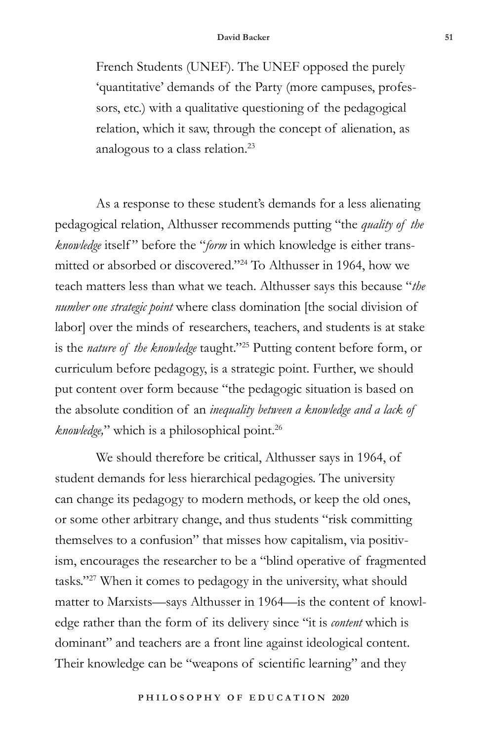French Students (UNEF). The UNEF opposed the purely 'quantitative' demands of the Party (more campuses, professors, etc.) with a qualitative questioning of the pedagogical relation, which it saw, through the concept of alienation, as analogous to a class relation.23

As a response to these student's demands for a less alienating pedagogical relation, Althusser recommends putting "the *quality of the knowledge* itself" before the "*form* in which knowledge is either transmitted or absorbed or discovered."24 To Althusser in 1964, how we teach matters less than what we teach. Althusser says this because "*the number one strategic point* where class domination [the social division of labor] over the minds of researchers, teachers, and students is at stake is the *nature of the knowledge* taught."25 Putting content before form, or curriculum before pedagogy, is a strategic point. Further, we should put content over form because "the pedagogic situation is based on the absolute condition of an *inequality between a knowledge and a lack of knowledge,*" which is a philosophical point.<sup>26</sup>

We should therefore be critical, Althusser says in 1964, of student demands for less hierarchical pedagogies. The university can change its pedagogy to modern methods, or keep the old ones, or some other arbitrary change, and thus students "risk committing themselves to a confusion" that misses how capitalism, via positivism, encourages the researcher to be a "blind operative of fragmented tasks."27 When it comes to pedagogy in the university, what should matter to Marxists—says Althusser in 1964—is the content of knowledge rather than the form of its delivery since "it is *content* which is dominant" and teachers are a front line against ideological content. Their knowledge can be "weapons of scientific learning" and they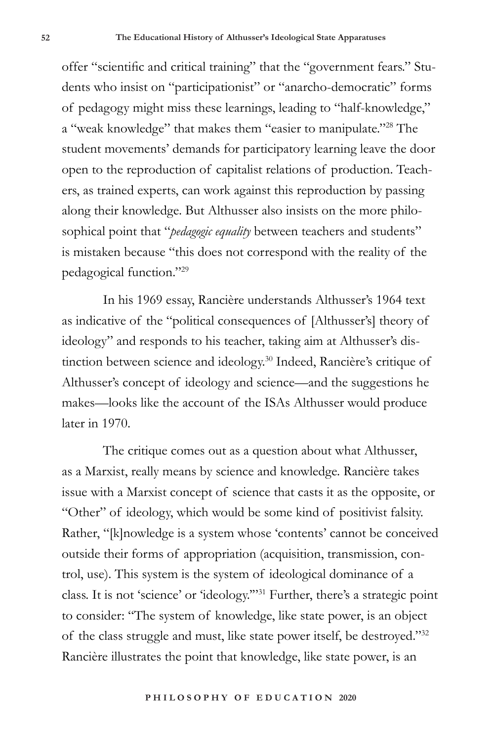offer "scientific and critical training" that the "government fears." Students who insist on "participationist" or "anarcho-democratic" forms of pedagogy might miss these learnings, leading to "half-knowledge," a "weak knowledge" that makes them "easier to manipulate."28 The student movements' demands for participatory learning leave the door open to the reproduction of capitalist relations of production. Teachers, as trained experts, can work against this reproduction by passing along their knowledge. But Althusser also insists on the more philosophical point that "*pedagogic equality* between teachers and students" is mistaken because "this does not correspond with the reality of the pedagogical function."29

In his 1969 essay, Rancière understands Althusser's 1964 text as indicative of the "political consequences of [Althusser's] theory of ideology" and responds to his teacher, taking aim at Althusser's distinction between science and ideology.30 Indeed, Rancière's critique of Althusser's concept of ideology and science—and the suggestions he makes—looks like the account of the ISAs Althusser would produce later in 1970.

The critique comes out as a question about what Althusser, as a Marxist, really means by science and knowledge. Rancière takes issue with a Marxist concept of science that casts it as the opposite, or "Other" of ideology, which would be some kind of positivist falsity. Rather, "[k]nowledge is a system whose 'contents' cannot be conceived outside their forms of appropriation (acquisition, transmission, control, use). This system is the system of ideological dominance of a class. It is not 'science' or 'ideology.'"31 Further, there's a strategic point to consider: "The system of knowledge, like state power, is an object of the class struggle and must, like state power itself, be destroyed."32 Rancière illustrates the point that knowledge, like state power, is an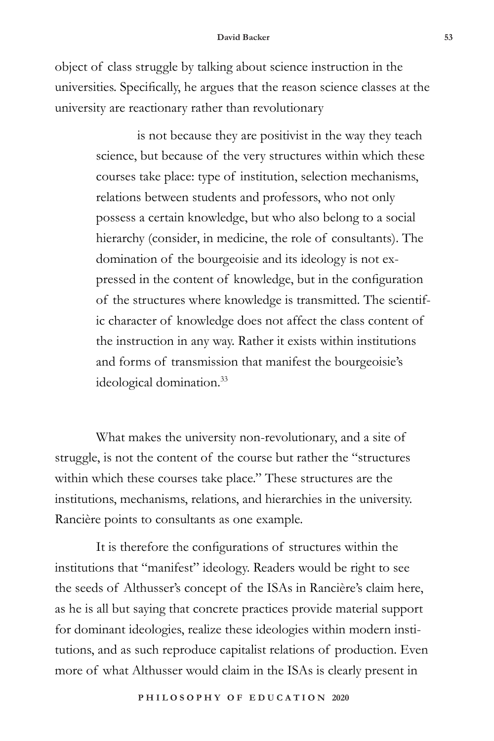object of class struggle by talking about science instruction in the universities. Specifically, he argues that the reason science classes at the university are reactionary rather than revolutionary

> is not because they are positivist in the way they teach science, but because of the very structures within which these courses take place: type of institution, selection mechanisms, relations between students and professors, who not only possess a certain knowledge, but who also belong to a social hierarchy (consider, in medicine, the role of consultants). The domination of the bourgeoisie and its ideology is not expressed in the content of knowledge, but in the configuration of the structures where knowledge is transmitted. The scientific character of knowledge does not affect the class content of the instruction in any way. Rather it exists within institutions and forms of transmission that manifest the bourgeoisie's ideological domination.<sup>33</sup>

What makes the university non-revolutionary, and a site of struggle, is not the content of the course but rather the "structures within which these courses take place." These structures are the institutions, mechanisms, relations, and hierarchies in the university. Rancière points to consultants as one example.

It is therefore the configurations of structures within the institutions that "manifest" ideology. Readers would be right to see the seeds of Althusser's concept of the ISAs in Rancière's claim here, as he is all but saying that concrete practices provide material support for dominant ideologies, realize these ideologies within modern institutions, and as such reproduce capitalist relations of production. Even more of what Althusser would claim in the ISAs is clearly present in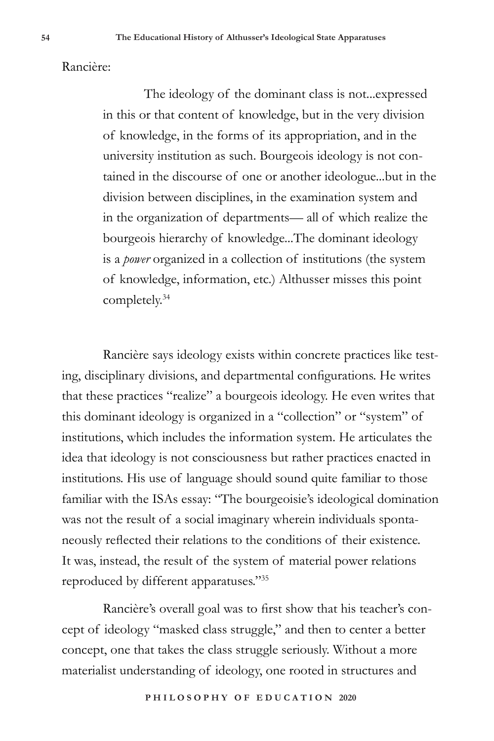Rancière:

The ideology of the dominant class is not...expressed in this or that content of knowledge, but in the very division of knowledge, in the forms of its appropriation, and in the university institution as such. Bourgeois ideology is not contained in the discourse of one or another ideologue...but in the division between disciplines, in the examination system and in the organization of departments— all of which realize the bourgeois hierarchy of knowledge...The dominant ideology is a *power* organized in a collection of institutions (the system of knowledge, information, etc.) Althusser misses this point completely.34

Rancière says ideology exists within concrete practices like testing, disciplinary divisions, and departmental configurations. He writes that these practices "realize" a bourgeois ideology. He even writes that this dominant ideology is organized in a "collection" or "system" of institutions, which includes the information system. He articulates the idea that ideology is not consciousness but rather practices enacted in institutions. His use of language should sound quite familiar to those familiar with the ISAs essay: "The bourgeoisie's ideological domination was not the result of a social imaginary wherein individuals spontaneously reflected their relations to the conditions of their existence. It was, instead, the result of the system of material power relations reproduced by different apparatuses."35

Rancière's overall goal was to first show that his teacher's concept of ideology "masked class struggle," and then to center a better concept, one that takes the class struggle seriously. Without a more materialist understanding of ideology, one rooted in structures and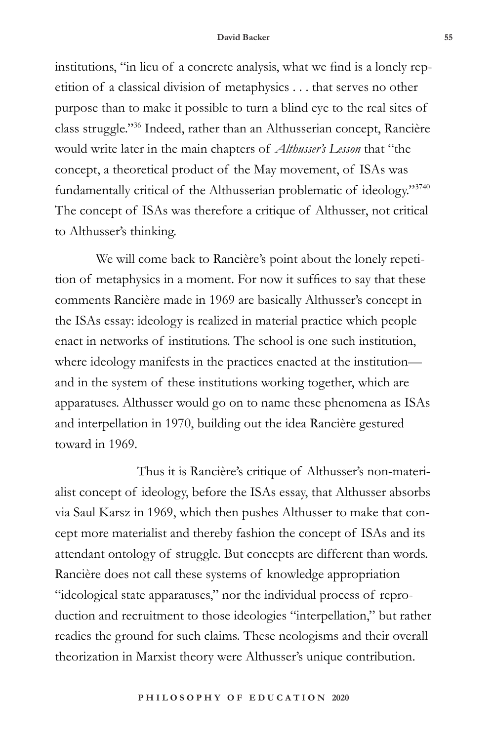institutions, "in lieu of a concrete analysis, what we find is a lonely repetition of a classical division of metaphysics . . . that serves no other purpose than to make it possible to turn a blind eye to the real sites of class struggle."36 Indeed, rather than an Althusserian concept, Rancière would write later in the main chapters of *Althusser's Lesson* that "the concept, a theoretical product of the May movement, of ISAs was fundamentally critical of the Althusserian problematic of ideology."3740 The concept of ISAs was therefore a critique of Althusser, not critical to Althusser's thinking.

We will come back to Rancière's point about the lonely repetition of metaphysics in a moment. For now it suffices to say that these comments Rancière made in 1969 are basically Althusser's concept in the ISAs essay: ideology is realized in material practice which people enact in networks of institutions. The school is one such institution, where ideology manifests in the practices enacted at the institution and in the system of these institutions working together, which are apparatuses. Althusser would go on to name these phenomena as ISAs and interpellation in 1970, building out the idea Rancière gestured toward in 1969.

Thus it is Rancière's critique of Althusser's non-materialist concept of ideology, before the ISAs essay, that Althusser absorbs via Saul Karsz in 1969, which then pushes Althusser to make that concept more materialist and thereby fashion the concept of ISAs and its attendant ontology of struggle. But concepts are different than words. Rancière does not call these systems of knowledge appropriation "ideological state apparatuses," nor the individual process of reproduction and recruitment to those ideologies "interpellation," but rather readies the ground for such claims. These neologisms and their overall theorization in Marxist theory were Althusser's unique contribution.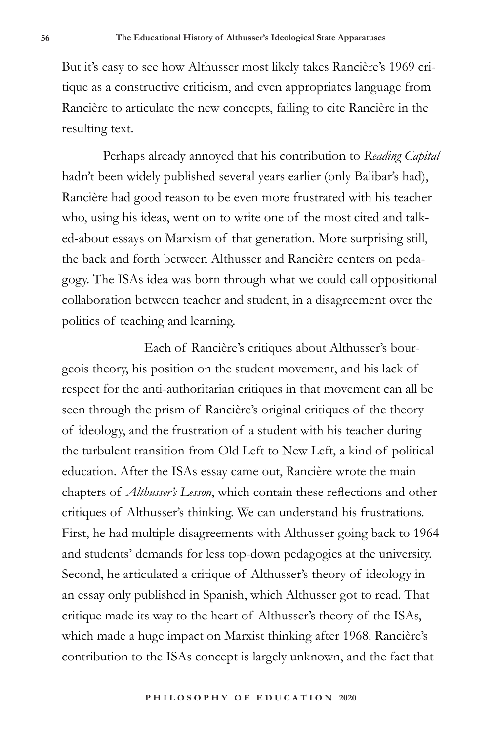But it's easy to see how Althusser most likely takes Rancière's 1969 critique as a constructive criticism, and even appropriates language from Rancière to articulate the new concepts, failing to cite Rancière in the resulting text.

Perhaps already annoyed that his contribution to *Reading Capital* hadn't been widely published several years earlier (only Balibar's had), Rancière had good reason to be even more frustrated with his teacher who, using his ideas, went on to write one of the most cited and talked-about essays on Marxism of that generation. More surprising still, the back and forth between Althusser and Rancière centers on pedagogy. The ISAs idea was born through what we could call oppositional collaboration between teacher and student, in a disagreement over the politics of teaching and learning.

Each of Rancière's critiques about Althusser's bourgeois theory, his position on the student movement, and his lack of respect for the anti-authoritarian critiques in that movement can all be seen through the prism of Rancière's original critiques of the theory of ideology, and the frustration of a student with his teacher during the turbulent transition from Old Left to New Left, a kind of political education. After the ISAs essay came out, Rancière wrote the main chapters of *Althusser's Lesson*, which contain these reflections and other critiques of Althusser's thinking. We can understand his frustrations. First, he had multiple disagreements with Althusser going back to 1964 and students' demands for less top-down pedagogies at the university. Second, he articulated a critique of Althusser's theory of ideology in an essay only published in Spanish, which Althusser got to read. That critique made its way to the heart of Althusser's theory of the ISAs, which made a huge impact on Marxist thinking after 1968. Rancière's contribution to the ISAs concept is largely unknown, and the fact that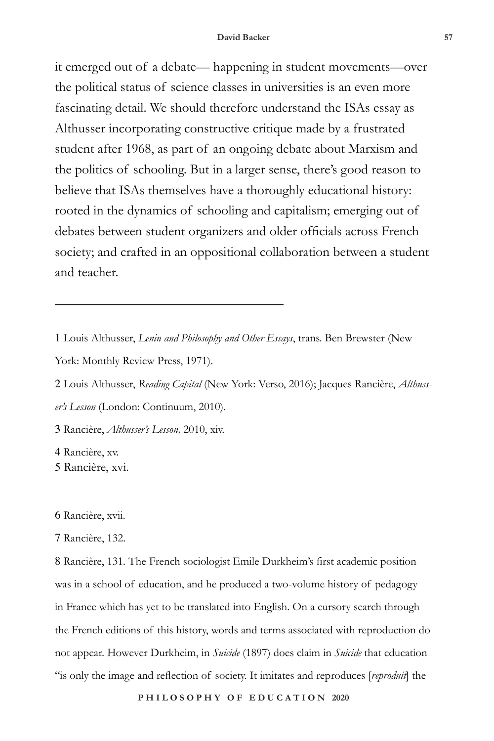it emerged out of a debate— happening in student movements—over the political status of science classes in universities is an even more fascinating detail. We should therefore understand the ISAs essay as Althusser incorporating constructive critique made by a frustrated student after 1968, as part of an ongoing debate about Marxism and the politics of schooling. But in a larger sense, there's good reason to believe that ISAs themselves have a thoroughly educational history: rooted in the dynamics of schooling and capitalism; emerging out of debates between student organizers and older officials across French society; and crafted in an oppositional collaboration between a student and teacher.

- 1 Louis Althusser, *Lenin and Philosophy and Other Essays*, trans. Ben Brewster (New York: Monthly Review Press, 1971).
- 2 Louis Althusser, *Reading Capital* (New York: Verso, 2016); Jacques Rancière, *Althusser's Lesson* (London: Continuum, 2010).

3 Rancière, *Althusser's Lesson,* 2010, xiv.

4 Rancière, xv. 5 Rancière, xvi.

6 Rancière, xvii.

# 7 Rancière, 132.

8 Rancière, 131. The French sociologist Emile Durkheim's first academic position was in a school of education, and he produced a two-volume history of pedagogy in France which has yet to be translated into English. On a cursory search through the French editions of this history, words and terms associated with reproduction do not appear. However Durkheim, in *Suicide* (1897) does claim in *Suicide* that education "is only the image and reflection of society. It imitates and reproduces [*reproduit*] the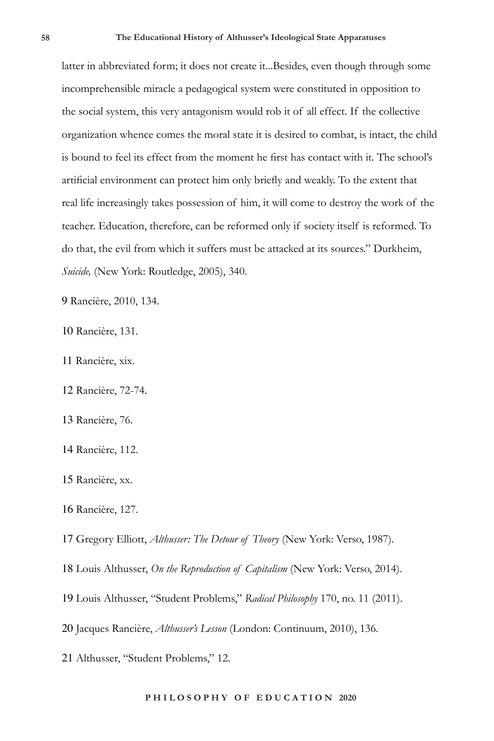latter in abbreviated form; it does not create it...Besides, even though through some incomprehensible miracle a pedagogical system were constituted in opposition to the social system, this very antagonism would rob it of all effect. If the collective organization whence comes the moral state it is desired to combat, is intact, the child is bound to feel its effect from the moment he first has contact with it. The school's artificial environment can protect him only briefly and weakly. To the extent that real life increasingly takes possession of him, it will come to destroy the work of the teacher. Education, therefore, can be reformed only if society itself is reformed. To do that, the evil from which it suffers must be attacked at its sources." Durkheim, *Suicide,* (New York: Routledge, 2005), 340.

9 Rancière, 2010, 134.

10 Rancière, 131.

11 Rancière, xix.

12 Rancière, 72-74.

13 Rancière, 76.

14 Rancière, 112.

15 Rancière, xx.

16 Rancière, 127.

17 Gregory Elliott, *Althusser: The Detour of Theory* (New York: Verso, 1987).

18 Louis Althusser, *On the Reproduction of Capitalism* (New York: Verso, 2014).

19 Louis Althusser, "Student Problems," *Radical Philosophy* 170, no. 11 (2011).

20 Jacques Rancière, *Althusser's Lesson* (London: Continuum, 2010), 136.

21 Althusser, "Student Problems," 12.